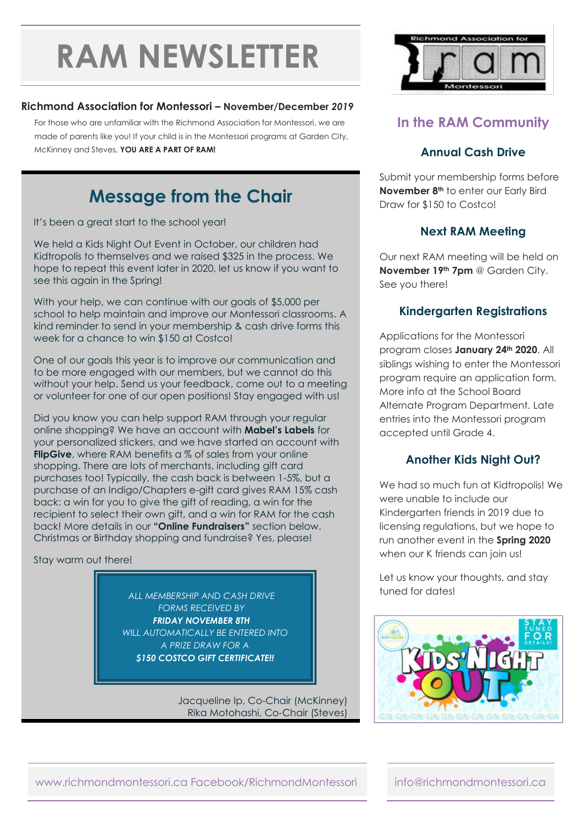# **RAM NEWSLETTER**

#### **Richmond Association for Montessori – November/December** *2019*

For those who are unfamiliar with the Richmond Association for Montessori, we are made of parents like you! If your child is in the Montessori programs at Garden City, McKinney and Steves, **YOU ARE A PART OF RAM!**

# **Message from the Chair**

It's been a great start to the school year!

We held a Kids Night Out Event in October, our children had Kidtropolis to themselves and we raised \$325 in the process. We hope to repeat this event later in 2020, let us know if you want to see this again in the Spring!

With your help, we can continue with our goals of \$5,000 per school to help maintain and improve our Montessori classrooms. A kind reminder to send in your membership & cash drive forms this week for a chance to win \$150 at Costco!

One of our goals this year is to improve our communication and to be more engaged with our members, but we cannot do this without your help. Send us your feedback, come out to a meeting or volunteer for one of our open positions! Stay engaged with us!

Did you know you can help support RAM through your regular online shopping? We have an account with **Mabel's Labels** for your personalized stickers, and we have started an account with **FlipGive**, where RAM benefits a % of sales from your online shopping. There are lots of merchants, including gift card purchases too! Typically, the cash back is between 1-5%, but a purchase of an Indigo/Chapters e-gift card gives RAM 15% cash back: a win for you to give the gift of reading, a win for the recipient to select their own gift, and a win for RAM for the cash back! More details in our **"Online Fundraisers"** section below. Christmas or Birthday shopping and fundraise? Yes, please!

Stay warm out there!

tuned for dates! *ALL MEMBERSHIP AND CASH DRIVE FORMS RECEIVED BY FRIDAY NOVEMBER 8TH WILL AUTOMATICALLY BE ENTERED INTO A PRIZE DRAW FOR A \$150 COSTCO GIFT CERTIFICATE!!*

> Jacqueline Ip, Co-Chair (McKinney) Rika Motohashi, Co-Chair (Steves)



# **In the RAM Community**

## **Annual Cash Drive**

Submit your membership forms before **November 8th** to enter our Early Bird Draw for \$150 to Costco!

## **Next RAM Meeting**

Our next RAM meeting will be held on **November 19th 7pm** @ Garden City. See you there!

#### **Kindergarten Registrations**

Applications for the Montessori program closes **January 24th 2020**. All siblings wishing to enter the Montessori program require an application form. More info at the School Board Alternate Program Department. Late entries into the Montessori program accepted until Grade 4.

#### **Another Kids Night Out?**

We had so much fun at Kidtropolis! We were unable to include our Kindergarten friends in 2019 due to licensing regulations, but we hope to run another event in the **Spring 2020** when our K friends can join us!

Let us know your thoughts, and stay



#### www.richmondmontessori.ca Facebook/RichmondMontessori info@richmondmontessori.ca